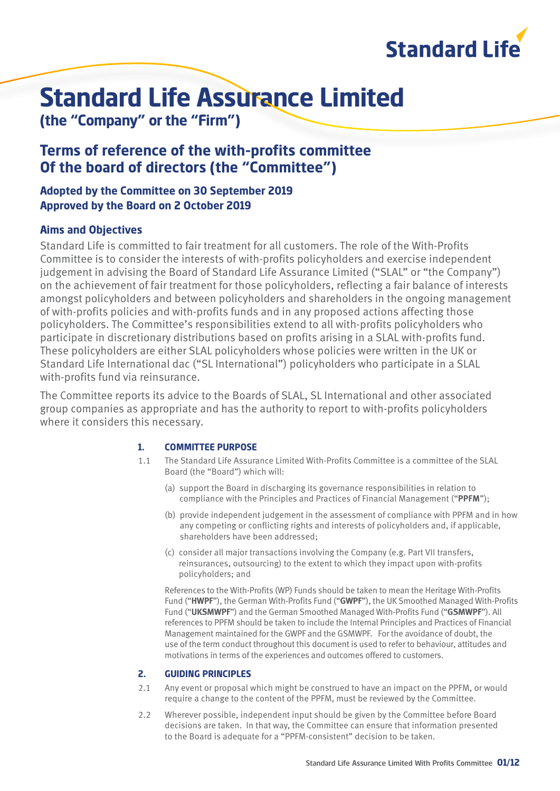

# **Standard Life Assurance Limited**

**(the "Company" or the "Firm")**

### **Terms of reference of the with-profits committee Of the board of directors (the "Committee")**

#### **Adopted by the Committee on 30 September 2019 Approved by the Board on 2 October 2019**

### **Aims and Objectives**

Standard Life is committed to fair treatment for all customers. The role of the With-Profits Committee is to consider the interests of with-profits policyholders and exercise independent judgement in advising the Board of Standard Life Assurance Limited ("SLAL" or "the Company") on the achievement of fair treatment for those policyholders, reflecting a fair balance of interests amongst policyholders and between policyholders and shareholders in the ongoing management of with-profits policies and with-profits funds and in any proposed actions affecting those policyholders. The Committee's responsibilities extend to all with-profits policyholders who participate in discretionary distributions based on profits arising in a SLAL with-profits fund. These policyholders are either SLAL policyholders whose policies were written in the UK or Standard Life International dac ("SL International") policyholders who participate in a SLAL with-profits fund via reinsurance.

The Committee reports its advice to the Boards of SLAL, SL International and other associated group companies as appropriate and has the authority to report to with-profits policyholders where it considers this necessary.

#### **1. COMMITTEE PURPOSE**

- 1.1 The Standard Life Assurance Limited With-Profits Committee is a committee of the SLAL Board (the "Board") which will:
	- (a) support the Board in discharging its governance responsibilities in relation to compliance with the Principles and Practices of Financial Management ("**PPFM**");
	- (b) provide independent judgement in the assessment of compliance with PPFM and in how any competing or conflicting rights and interests of policyholders and, if applicable, shareholders have been addressed;
	- (c) consider all major transactions involving the Company (e.g. Part VII transfers, reinsurances, outsourcing) to the extent to which they impact upon with-profits policyholders; and

References to the With-Profits (WP) Funds should be taken to mean the Heritage With-Profits Fund ("**HWPF**"), the German With-Profits Fund ("**GWPF**"), the UK Smoothed Managed With-Profits Fund ("**UKSMWPF**") and the German Smoothed Managed With-Profits Fund ("**GSMWPF**"). All references to PPFM should be taken to include the Internal Principles and Practices of Financial Management maintained for the GWPF and the GSMWPF. For the avoidance of doubt, the use of the term conduct throughout this document is used to refer to behaviour, attitudes and motivations in terms of the experiences and outcomes offered to customers.

#### **2. GUIDING PRINCIPLES**

- 2.1 Any event or proposal which might be construed to have an impact on the PPFM, or would require a change to the content of the PPFM, must be reviewed by the Committee.
- 2.2 Wherever possible, independent input should be given by the Committee before Board decisions are taken. In that way, the Committee can ensure that information presented to the Board is adequate for a "PPFM-consistent" decision to be taken.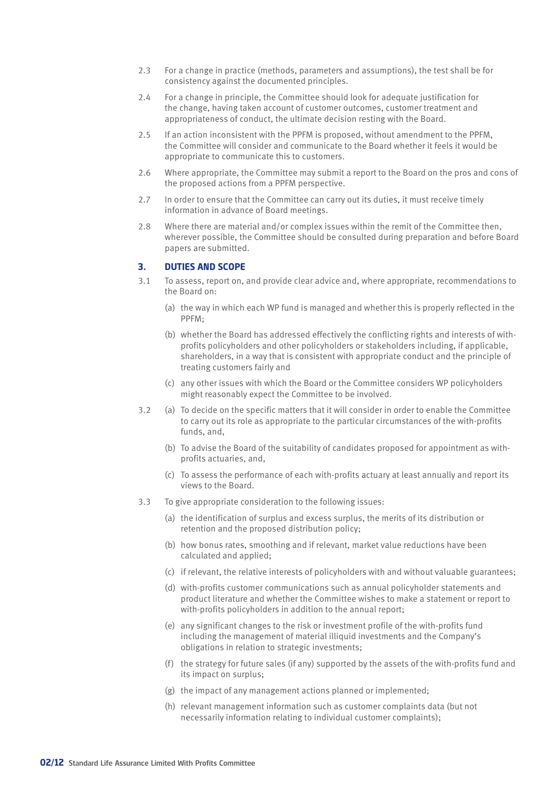- 2.3 For a change in practice (methods, parameters and assumptions), the test shall be for consistency against the documented principles.
- 2.4 For a change in principle, the Committee should look for adequate justification for the change, having taken account of customer outcomes, customer treatment and appropriateness of conduct, the ultimate decision resting with the Board.
- 2.5 If an action inconsistent with the PPFM is proposed, without amendment to the PPFM, the Committee will consider and communicate to the Board whether it feels it would be appropriate to communicate this to customers.
- 2.6 Where appropriate, the Committee may submit a report to the Board on the pros and cons of the proposed actions from a PPFM perspective.
- 2.7 In order to ensure that the Committee can carry out its duties, it must receive timely information in advance of Board meetings.
- 2.8 Where there are material and/or complex issues within the remit of the Committee then, wherever possible, the Committee should be consulted during preparation and before Board papers are submitted.

#### **3. DUTIES AND SCOPE**

- 3.1 To assess, report on, and provide clear advice and, where appropriate, recommendations to the Board on:
	- (a) the way in which each WP fund is managed and whether this is properly reflected in the PPFM;
	- (b) whether the Board has addressed effectively the conflicting rights and interests of withprofits policyholders and other policyholders or stakeholders including, if applicable, shareholders, in a way that is consistent with appropriate conduct and the principle of treating customers fairly and
	- (c) any other issues with which the Board or the Committee considers WP policyholders might reasonably expect the Committee to be involved.
- 3.2 (a) To decide on the specific matters that it will consider in order to enable the Committee to carry out its role as appropriate to the particular circumstances of the with-profits funds, and,
	- (b) To advise the Board of the suitability of candidates proposed for appointment as withprofits actuaries, and,
	- (c) To assess the performance of each with-profits actuary at least annually and report its views to the Board.
- 3.3 To give appropriate consideration to the following issues:
	- (a) the identification of surplus and excess surplus, the merits of its distribution or retention and the proposed distribution policy;
	- (b) how bonus rates, smoothing and if relevant, market value reductions have been calculated and applied;
	- (c) if relevant, the relative interests of policyholders with and without valuable guarantees;
	- (d) with-profits customer communications such as annual policyholder statements and product literature and whether the Committee wishes to make a statement or report to with-profits policyholders in addition to the annual report;
	- (e) any significant changes to the risk or investment profile of the with-profits fund including the management of material illiquid investments and the Company's obligations in relation to strategic investments;
	- (f) the strategy for future sales (if any) supported by the assets of the with-profits fund and its impact on surplus;
	- (g) the impact of any management actions planned or implemented;
	- (h) relevant management information such as customer complaints data (but not necessarily information relating to individual customer complaints);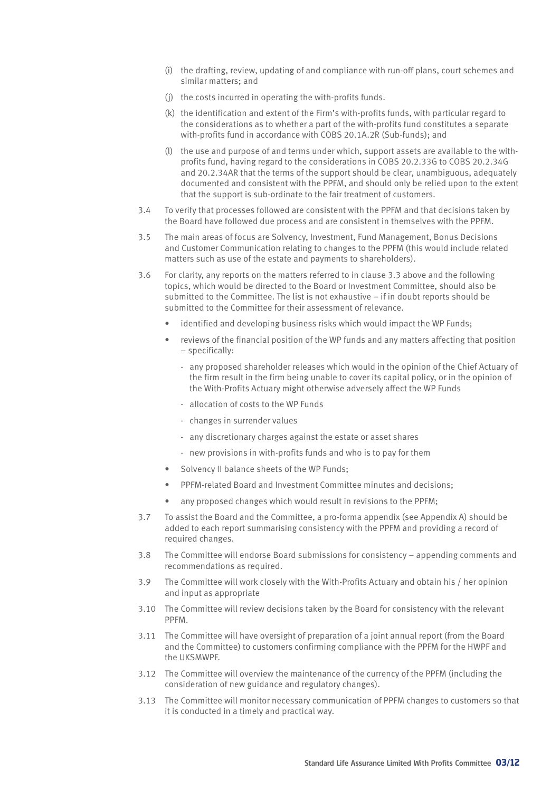- (i) the drafting, review, updating of and compliance with run-off plans, court schemes and similar matters; and
- (j) the costs incurred in operating the with-profits funds.
- (k) the identification and extent of the Firm's with-profits funds, with particular regard to the considerations as to whether a part of the with-profits fund constitutes a separate with-profits fund in accordance with COBS 20.1A.2R (Sub-funds); and
- (l) the use and purpose of and terms under which, support assets are available to the withprofits fund, having regard to the considerations in COBS 20.2.33G to COBS 20.2.34G and 20.2.34AR that the terms of the support should be clear, unambiguous, adequately documented and consistent with the PPFM, and should only be relied upon to the extent that the support is sub-ordinate to the fair treatment of customers.
- 3.4 To verify that processes followed are consistent with the PPFM and that decisions taken by the Board have followed due process and are consistent in themselves with the PPFM.
- 3.5 The main areas of focus are Solvency, Investment, Fund Management, Bonus Decisions and Customer Communication relating to changes to the PPFM (this would include related matters such as use of the estate and payments to shareholders).
- 3.6 For clarity, any reports on the matters referred to in clause 3.3 above and the following topics, which would be directed to the Board or Investment Committee, should also be submitted to the Committee. The list is not exhaustive – if in doubt reports should be submitted to the Committee for their assessment of relevance.
	- identified and developing business risks which would impact the WP Funds;
	- reviews of the financial position of the WP funds and any matters affecting that position – specifically:
		- any proposed shareholder releases which would in the opinion of the Chief Actuary of the firm result in the firm being unable to cover its capital policy, or in the opinion of the With-Profits Actuary might otherwise adversely affect the WP Funds
		- allocation of costs to the WP Funds
		- changes in surrender values
		- any discretionary charges against the estate or asset shares
		- new provisions in with-profits funds and who is to pay for them
	- Solvency II balance sheets of the WP Funds;
	- PPFM-related Board and Investment Committee minutes and decisions;
	- any proposed changes which would result in revisions to the PPFM:
- 3.7 To assist the Board and the Committee, a pro-forma appendix (see Appendix A) should be added to each report summarising consistency with the PPFM and providing a record of required changes.
- 3.8 The Committee will endorse Board submissions for consistency appending comments and recommendations as required.
- 3.9 The Committee will work closely with the With-Profits Actuary and obtain his / her opinion and input as appropriate
- 3.10 The Committee will review decisions taken by the Board for consistency with the relevant PPFM.
- 3.11 The Committee will have oversight of preparation of a joint annual report (from the Board and the Committee) to customers confirming compliance with the PPFM for the HWPF and the UKSMWPF.
- 3.12 The Committee will overview the maintenance of the currency of the PPFM (including the consideration of new guidance and regulatory changes).
- 3.13 The Committee will monitor necessary communication of PPFM changes to customers so that it is conducted in a timely and practical way.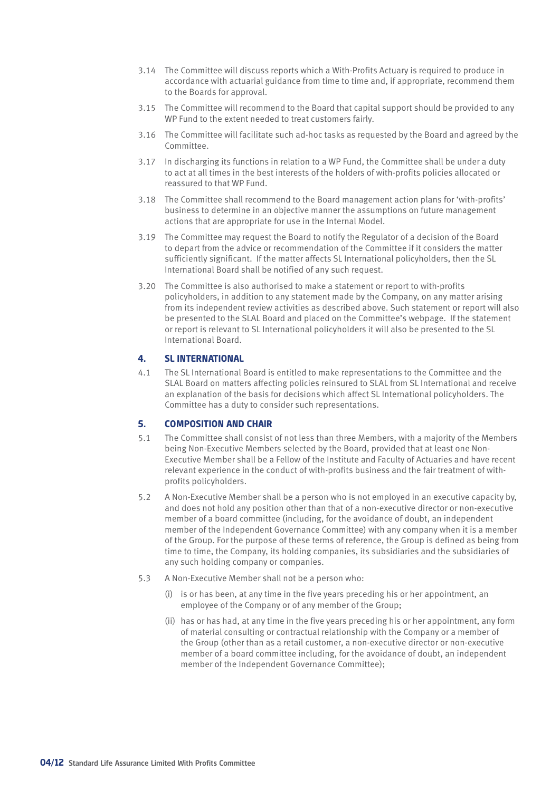- 3.14 The Committee will discuss reports which a With-Profits Actuary is required to produce in accordance with actuarial guidance from time to time and, if appropriate, recommend them to the Boards for approval.
- 3.15 The Committee will recommend to the Board that capital support should be provided to any WP Fund to the extent needed to treat customers fairly.
- 3.16 The Committee will facilitate such ad-hoc tasks as requested by the Board and agreed by the Committee.
- 3.17 In discharging its functions in relation to a WP Fund, the Committee shall be under a duty to act at all times in the best interests of the holders of with-profits policies allocated or reassured to that WP Fund.
- 3.18 The Committee shall recommend to the Board management action plans for 'with-profits' business to determine in an objective manner the assumptions on future management actions that are appropriate for use in the Internal Model.
- 3.19 The Committee may request the Board to notify the Regulator of a decision of the Board to depart from the advice or recommendation of the Committee if it considers the matter sufficiently significant. If the matter affects SL International policyholders, then the SL International Board shall be notified of any such request.
- 3.20 The Committee is also authorised to make a statement or report to with-profits policyholders, in addition to any statement made by the Company, on any matter arising from its independent review activities as described above. Such statement or report will also be presented to the SLAL Board and placed on the Committee's webpage. If the statement or report is relevant to SL International policyholders it will also be presented to the SL International Board.

#### **4. SL INTERNATIONAL**

4.1 The SL International Board is entitled to make representations to the Committee and the SLAL Board on matters affecting policies reinsured to SLAL from SL International and receive an explanation of the basis for decisions which affect SL International policyholders. The Committee has a duty to consider such representations.

#### **5. COMPOSITION AND CHAIR**

- 5.1 The Committee shall consist of not less than three Members, with a majority of the Members being Non-Executive Members selected by the Board, provided that at least one Non-Executive Member shall be a Fellow of the Institute and Faculty of Actuaries and have recent relevant experience in the conduct of with-profits business and the fair treatment of withprofits policyholders.
- 5.2 A Non-Executive Member shall be a person who is not employed in an executive capacity by, and does not hold any position other than that of a non-executive director or non-executive member of a board committee (including, for the avoidance of doubt, an independent member of the Independent Governance Committee) with any company when it is a member of the Group. For the purpose of these terms of reference, the Group is defined as being from time to time, the Company, its holding companies, its subsidiaries and the subsidiaries of any such holding company or companies.
- 5.3 A Non-Executive Member shall not be a person who:
	- (i) is or has been, at any time in the five years preceding his or her appointment, an employee of the Company or of any member of the Group;
	- (ii) has or has had, at any time in the five years preceding his or her appointment, any form of material consulting or contractual relationship with the Company or a member of the Group (other than as a retail customer, a non-executive director or non-executive member of a board committee including, for the avoidance of doubt, an independent member of the Independent Governance Committee);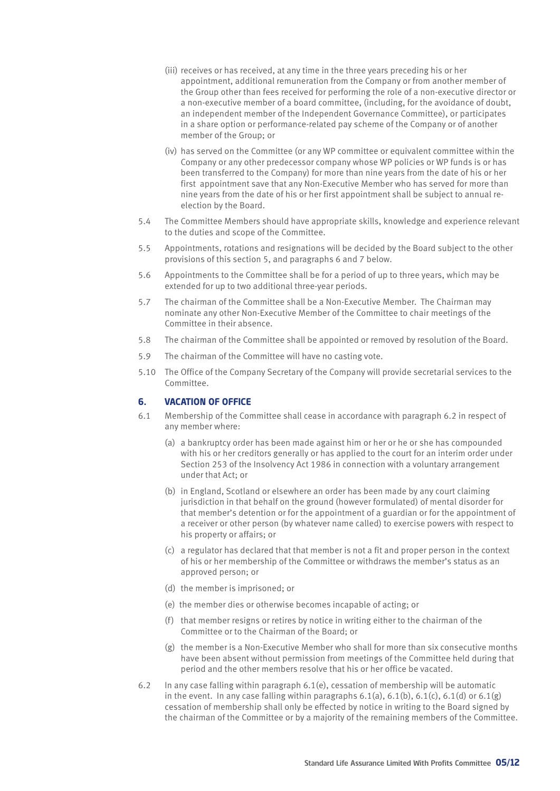- (iii) receives or has received, at any time in the three years preceding his or her appointment, additional remuneration from the Company or from another member of the Group other than fees received for performing the role of a non-executive director or a non-executive member of a board committee, (including, for the avoidance of doubt, an independent member of the Independent Governance Committee), or participates in a share option or performance-related pay scheme of the Company or of another member of the Group; or
- (iv) has served on the Committee (or any WP committee or equivalent committee within the Company or any other predecessor company whose WP policies or WP funds is or has been transferred to the Company) for more than nine years from the date of his or her first appointment save that any Non-Executive Member who has served for more than nine years from the date of his or her first appointment shall be subject to annual reelection by the Board.
- 5.4 The Committee Members should have appropriate skills, knowledge and experience relevant to the duties and scope of the Committee.
- 5.5 Appointments, rotations and resignations will be decided by the Board subject to the other provisions of this section 5, and paragraphs 6 and 7 below.
- 5.6 Appointments to the Committee shall be for a period of up to three years, which may be extended for up to two additional three-year periods.
- 5.7 The chairman of the Committee shall be a Non-Executive Member. The Chairman may nominate any other Non-Executive Member of the Committee to chair meetings of the Committee in their absence.
- 5.8 The chairman of the Committee shall be appointed or removed by resolution of the Board.
- 5.9 The chairman of the Committee will have no casting vote.
- 5.10 The Office of the Company Secretary of the Company will provide secretarial services to the Committee.

#### **6. VACATION OF OFFICE**

- 6.1 Membership of the Committee shall cease in accordance with paragraph 6.2 in respect of any member where:
	- (a) a bankruptcy order has been made against him or her or he or she has compounded with his or her creditors generally or has applied to the court for an interim order under Section 253 of the Insolvency Act 1986 in connection with a voluntary arrangement under that Act; or
	- (b) in England, Scotland or elsewhere an order has been made by any court claiming jurisdiction in that behalf on the ground (however formulated) of mental disorder for that member's detention or for the appointment of a guardian or for the appointment of a receiver or other person (by whatever name called) to exercise powers with respect to his property or affairs; or
	- (c) a regulator has declared that that member is not a fit and proper person in the context of his or her membership of the Committee or withdraws the member's status as an approved person; or
	- (d) the member is imprisoned; or
	- (e) the member dies or otherwise becomes incapable of acting; or
	- (f) that member resigns or retires by notice in writing either to the chairman of the Committee or to the Chairman of the Board; or
	- (g) the member is a Non-Executive Member who shall for more than six consecutive months have been absent without permission from meetings of the Committee held during that period and the other members resolve that his or her office be vacated.
- 6.2 In any case falling within paragraph 6.1(e), cessation of membership will be automatic in the event. In any case falling within paragraphs  $6.1(a)$ ,  $6.1(b)$ ,  $6.1(c)$ ,  $6.1(d)$  or  $6.1(g)$ cessation of membership shall only be effected by notice in writing to the Board signed by the chairman of the Committee or by a majority of the remaining members of the Committee.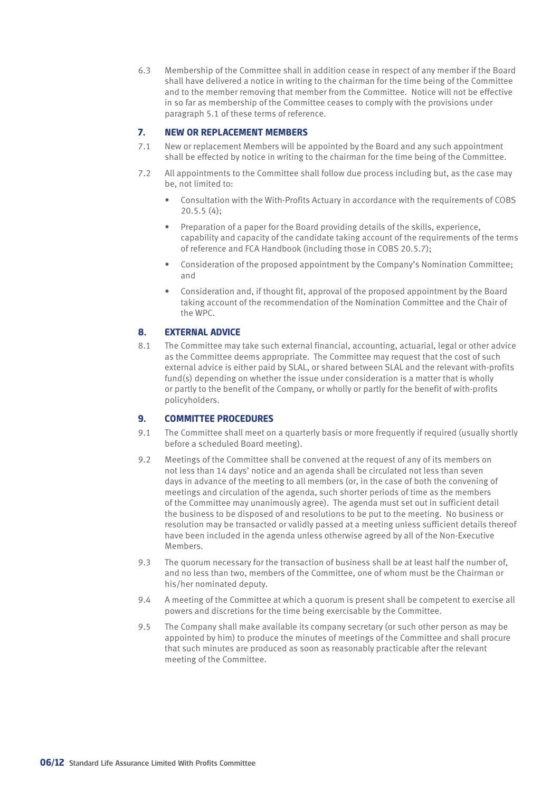6.3 Membership of the Committee shall in addition cease in respect of any member if the Board shall have delivered a notice in writing to the chairman for the time being of the Committee and to the member removing that member from the Committee. Notice will not be effective in so far as membership of the Committee ceases to comply with the provisions under paragraph 5.1 of these terms of reference.

#### **7. NEW OR REPLACEMENT MEMBERS**

- 7.1 New or replacement Members will be appointed by the Board and any such appointment shall be effected by notice in writing to the chairman for the time being of the Committee.
- 7.2 All appointments to the Committee shall follow due process including but, as the case may be, not limited to:
	- Consultation with the With-Profits Actuary in accordance with the requirements of COBS 20.5.5 (4);
	- Preparation of a paper for the Board providing details of the skills, experience, capability and capacity of the candidate taking account of the requirements of the terms of reference and FCA Handbook (including those in COBS 20.5.7);
	- Consideration of the proposed appointment by the Company's Nomination Committee; and
	- Consideration and, if thought fit, approval of the proposed appointment by the Board taking account of the recommendation of the Nomination Committee and the Chair of the WPC.

#### **8. EXTERNAL ADVICE**

8.1 The Committee may take such external financial, accounting, actuarial, legal or other advice as the Committee deems appropriate. The Committee may request that the cost of such external advice is either paid by SLAL, or shared between SLAL and the relevant with-profits fund(s) depending on whether the issue under consideration is a matter that is wholly or partly to the benefit of the Company, or wholly or partly for the benefit of with-profits policyholders.

#### **9. COMMITTEE PROCEDURES**

- 9.1 The Committee shall meet on a quarterly basis or more frequently if required (usually shortly before a scheduled Board meeting).
- 9.2 Meetings of the Committee shall be convened at the request of any of its members on not less than 14 days' notice and an agenda shall be circulated not less than seven days in advance of the meeting to all members (or, in the case of both the convening of meetings and circulation of the agenda, such shorter periods of time as the members of the Committee may unanimously agree). The agenda must set out in sufficient detail the business to be disposed of and resolutions to be put to the meeting. No business or resolution may be transacted or validly passed at a meeting unless sufficient details thereof have been included in the agenda unless otherwise agreed by all of the Non-Executive Members.
- 9.3 The quorum necessary for the transaction of business shall be at least half the number of, and no less than two, members of the Committee, one of whom must be the Chairman or his/her nominated deputy.
- 9.4 A meeting of the Committee at which a quorum is present shall be competent to exercise all powers and discretions for the time being exercisable by the Committee.
- 9.5 The Company shall make available its company secretary (or such other person as may be appointed by him) to produce the minutes of meetings of the Committee and shall procure that such minutes are produced as soon as reasonably practicable after the relevant meeting of the Committee.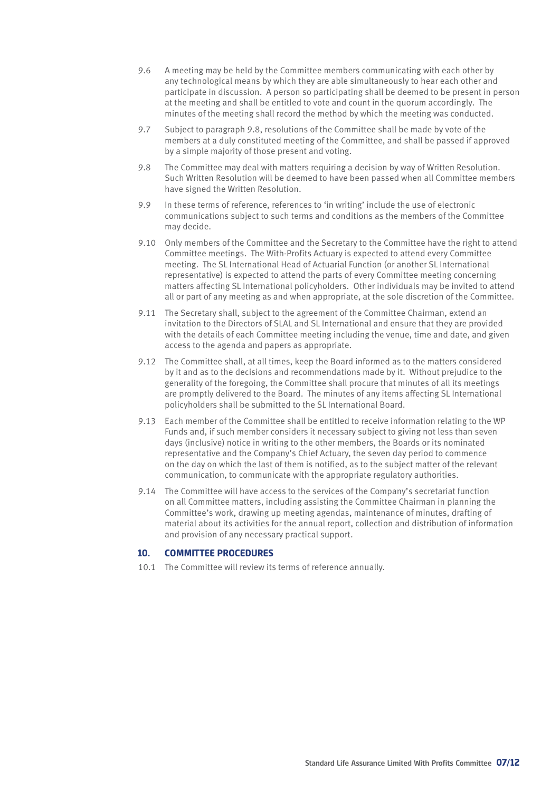- 9.6 A meeting may be held by the Committee members communicating with each other by any technological means by which they are able simultaneously to hear each other and participate in discussion. A person so participating shall be deemed to be present in person at the meeting and shall be entitled to vote and count in the quorum accordingly. The minutes of the meeting shall record the method by which the meeting was conducted.
- 9.7 Subject to paragraph 9.8, resolutions of the Committee shall be made by vote of the members at a duly constituted meeting of the Committee, and shall be passed if approved by a simple majority of those present and voting.
- 9.8 The Committee may deal with matters requiring a decision by way of Written Resolution. Such Written Resolution will be deemed to have been passed when all Committee members have signed the Written Resolution.
- 9.9 In these terms of reference, references to 'in writing' include the use of electronic communications subject to such terms and conditions as the members of the Committee may decide.
- 9.10 Only members of the Committee and the Secretary to the Committee have the right to attend Committee meetings. The With-Profits Actuary is expected to attend every Committee meeting. The SL International Head of Actuarial Function (or another SL International representative) is expected to attend the parts of every Committee meeting concerning matters affecting SL International policyholders. Other individuals may be invited to attend all or part of any meeting as and when appropriate, at the sole discretion of the Committee.
- 9.11 The Secretary shall, subject to the agreement of the Committee Chairman, extend an invitation to the Directors of SLAL and SL International and ensure that they are provided with the details of each Committee meeting including the venue, time and date, and given access to the agenda and papers as appropriate.
- 9.12 The Committee shall, at all times, keep the Board informed as to the matters considered by it and as to the decisions and recommendations made by it. Without prejudice to the generality of the foregoing, the Committee shall procure that minutes of all its meetings are promptly delivered to the Board. The minutes of any items affecting SL International policyholders shall be submitted to the SL International Board.
- 9.13 Each member of the Committee shall be entitled to receive information relating to the WP Funds and, if such member considers it necessary subject to giving not less than seven days (inclusive) notice in writing to the other members, the Boards or its nominated representative and the Company's Chief Actuary, the seven day period to commence on the day on which the last of them is notified, as to the subject matter of the relevant communication, to communicate with the appropriate regulatory authorities.
- 9.14 The Committee will have access to the services of the Company's secretariat function on all Committee matters, including assisting the Committee Chairman in planning the Committee's work, drawing up meeting agendas, maintenance of minutes, drafting of material about its activities for the annual report, collection and distribution of information and provision of any necessary practical support.

#### **10. COMMITTEE PROCEDURES**

10.1 The Committee will review its terms of reference annually.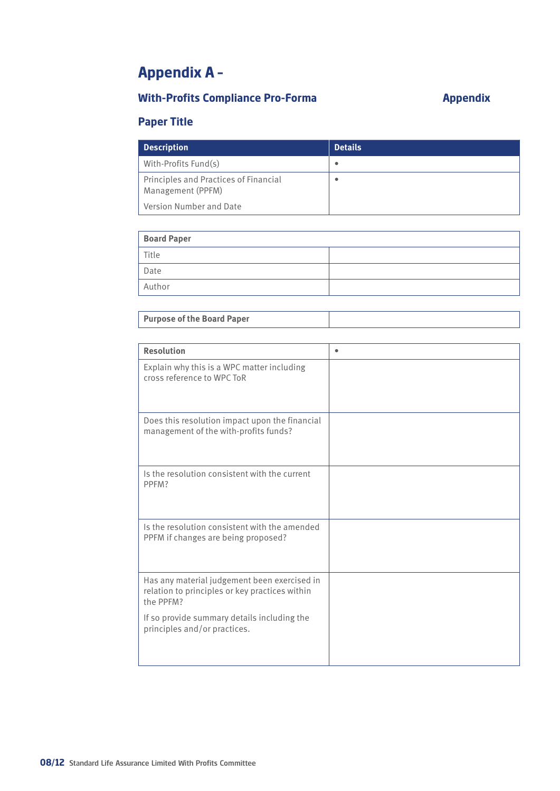## **Appendix A –**

### **With-Profits Compliance Pro-Forma Appendix**

### **Paper Title**

| <b>Description</b>                                         | <b>Details</b> |
|------------------------------------------------------------|----------------|
| With-Profits Fund(s)                                       | $\bullet$      |
| Principles and Practices of Financial<br>Management (PPFM) | ٠              |
| Version Number and Date                                    |                |

| <b>Board Paper</b> |  |
|--------------------|--|
| Title              |  |
| Date               |  |
| Author             |  |
|                    |  |

| <b>Resolution</b>                                                                                           | ٠ |
|-------------------------------------------------------------------------------------------------------------|---|
| Explain why this is a WPC matter including<br>cross reference to WPC ToR                                    |   |
| Does this resolution impact upon the financial<br>management of the with-profits funds?                     |   |
| Is the resolution consistent with the current<br>PPFM?                                                      |   |
| Is the resolution consistent with the amended<br>PPFM if changes are being proposed?                        |   |
| Has any material judgement been exercised in<br>relation to principles or key practices within<br>the PPFM? |   |
| If so provide summary details including the<br>principles and/or practices.                                 |   |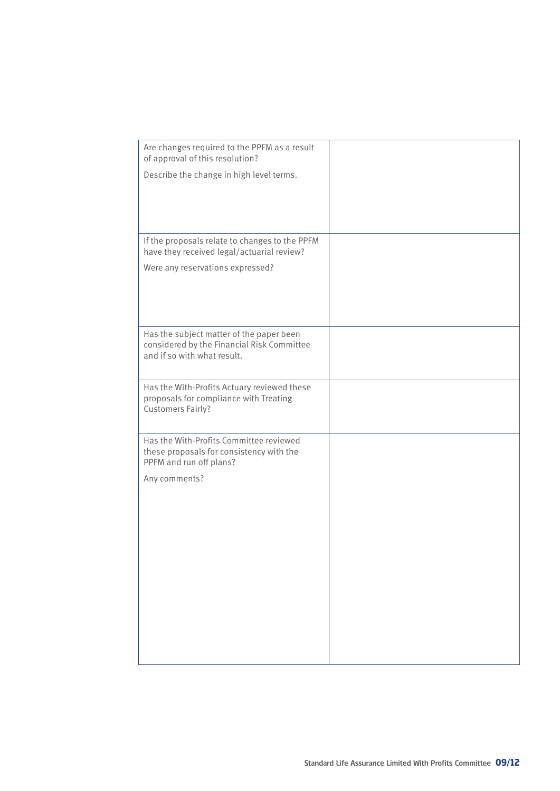| Are changes required to the PPFM as a result<br>of approval of this resolution?                                       |  |
|-----------------------------------------------------------------------------------------------------------------------|--|
| Describe the change in high level terms.                                                                              |  |
|                                                                                                                       |  |
| If the proposals relate to changes to the PPFM<br>have they received legal/actuarial review?                          |  |
| Were any reservations expressed?                                                                                      |  |
|                                                                                                                       |  |
| Has the subject matter of the paper been<br>considered by the Financial Risk Committee<br>and if so with what result. |  |
| Has the With-Profits Actuary reviewed these<br>proposals for compliance with Treating<br><b>Customers Fairly?</b>     |  |
| Has the With-Profits Committee reviewed<br>these proposals for consistency with the<br>PPFM and run off plans?        |  |
| Any comments?                                                                                                         |  |
|                                                                                                                       |  |
|                                                                                                                       |  |
|                                                                                                                       |  |
|                                                                                                                       |  |
|                                                                                                                       |  |
|                                                                                                                       |  |